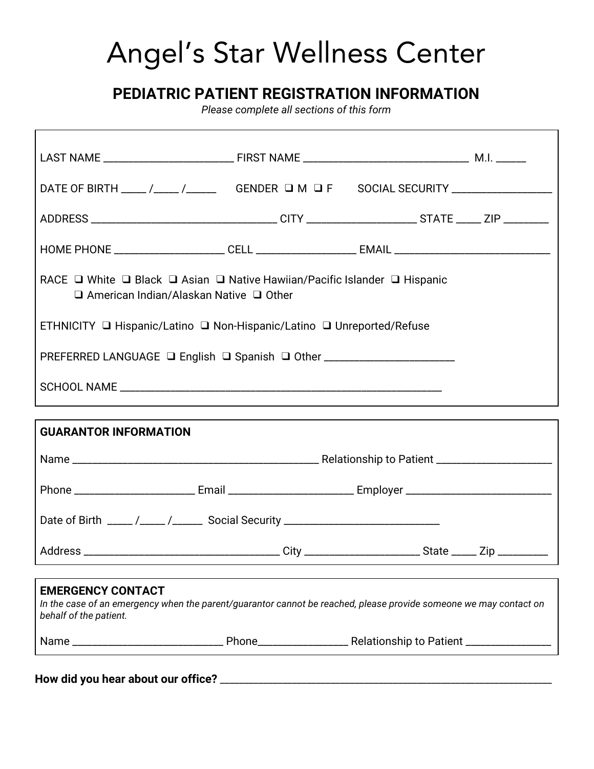# Angel's Star Wellness Center

## **PEDIATRIC PATIENT REGISTRATION INFORMATION**

*Please complete all sections of this form*

| DATE OF BIRTH ____ /____ /_____ GENDER $\Box$ M $\Box$ F SOCIAL SECURITY ________________                                                                               |  |  |  |
|-------------------------------------------------------------------------------------------------------------------------------------------------------------------------|--|--|--|
|                                                                                                                                                                         |  |  |  |
|                                                                                                                                                                         |  |  |  |
| RACE □ White □ Black □ Asian □ Native Hawiian/Pacific Islander □ Hispanic<br>$\Box$ American Indian/Alaskan Native $\Box$ Other                                         |  |  |  |
| ETHNICITY □ Hispanic/Latino □ Non-Hispanic/Latino □ Unreported/Refuse                                                                                                   |  |  |  |
| PREFERRED LANGUAGE □ English □ Spanish □ Other _________________________________                                                                                        |  |  |  |
|                                                                                                                                                                         |  |  |  |
| <b>GUARANTOR INFORMATION</b>                                                                                                                                            |  |  |  |
|                                                                                                                                                                         |  |  |  |
|                                                                                                                                                                         |  |  |  |
| Date of Birth ____/___/_____/ Social Security __________________________________                                                                                        |  |  |  |
|                                                                                                                                                                         |  |  |  |
| <b>EMERGENCY CONTACT</b><br>In the case of an emergency when the parent/guarantor cannot be reached, please provide someone we may contact on<br>behalf of the patient. |  |  |  |
|                                                                                                                                                                         |  |  |  |
|                                                                                                                                                                         |  |  |  |

**How did you hear about our office?** \_\_\_\_\_\_\_\_\_\_\_\_\_\_\_\_\_\_\_\_\_\_\_\_\_\_\_\_\_\_\_\_\_\_\_\_\_\_\_\_\_\_\_\_\_\_\_\_\_\_\_\_\_\_\_\_\_\_\_\_\_\_\_\_\_\_\_\_\_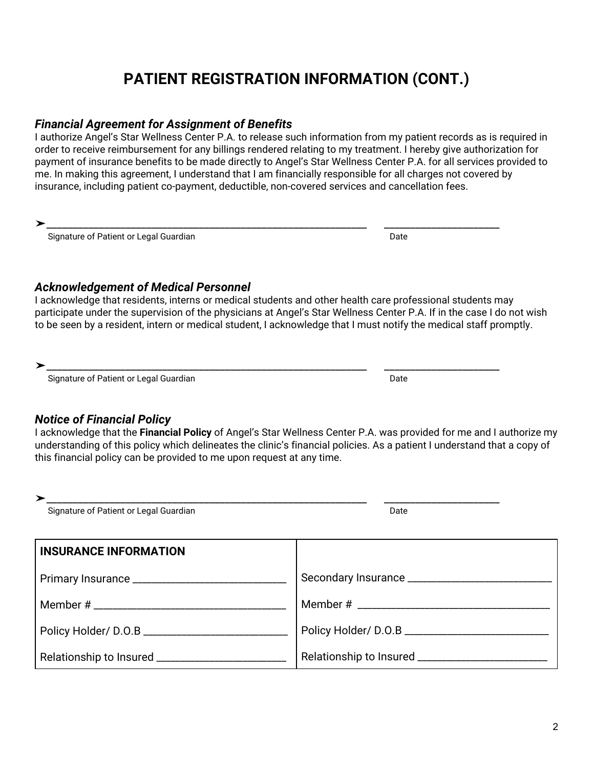## **PATIENT REGISTRATION INFORMATION (CONT.)**

#### *Financial Agreement for Assignment of Benefits*

I authorize Angel's Star Wellness Center P.A. to release such information from my patient records as is required in order to receive reimbursement for any billings rendered relating to my treatment. I hereby give authorization for payment of insurance benefits to be made directly to Angel's Star Wellness Center P.A. for all services provided to me. In making this agreement, I understand that I am financially responsible for all charges not covered by insurance, including patient co-payment, deductible, non-covered services and cancellation fees.

➤\_\_\_\_\_\_\_\_\_\_\_\_\_\_\_\_\_\_\_\_\_\_\_\_\_\_\_\_\_\_\_\_\_\_\_\_\_\_\_\_\_\_\_\_\_\_\_\_\_\_\_\_\_\_\_\_\_\_\_\_\_ \_\_\_\_\_\_\_\_\_\_\_\_\_\_\_\_\_\_\_\_\_\_

Signature of Patient or Legal Guardian Date

#### *Acknowledgement of Medical Personnel*

I acknowledge that residents, interns or medical students and other health care professional students may participate under the supervision of the physicians at Angel's Star Wellness Center P.A. If in the case I do not wish to be seen by a resident, intern or medical student, I acknowledge that I must notify the medical staff promptly.

➤\_\_\_\_\_\_\_\_\_\_\_\_\_\_\_\_\_\_\_\_\_\_\_\_\_\_\_\_\_\_\_\_\_\_\_\_\_\_\_\_\_\_\_\_\_\_\_\_\_\_\_\_\_\_\_\_\_\_\_\_\_ \_\_\_\_\_\_\_\_\_\_\_\_\_\_\_\_\_\_\_\_\_\_

Signature of Patient or Legal Guardian Date Date Date Date

# *Notice of Financial Policy*

I acknowledge that the **Financial Policy** of Angel's Star Wellness Center P.A. was provided for me and I authorize my understanding of this policy which delineates the clinic's financial policies. As a patient I understand that a copy of this financial policy can be provided to me upon request at any time.

| ➤<br>Signature of Patient or Legal Guardian | Date |
|---------------------------------------------|------|
| <b>INSURANCE INFORMATION</b>                |      |
|                                             |      |
|                                             |      |
|                                             |      |
|                                             |      |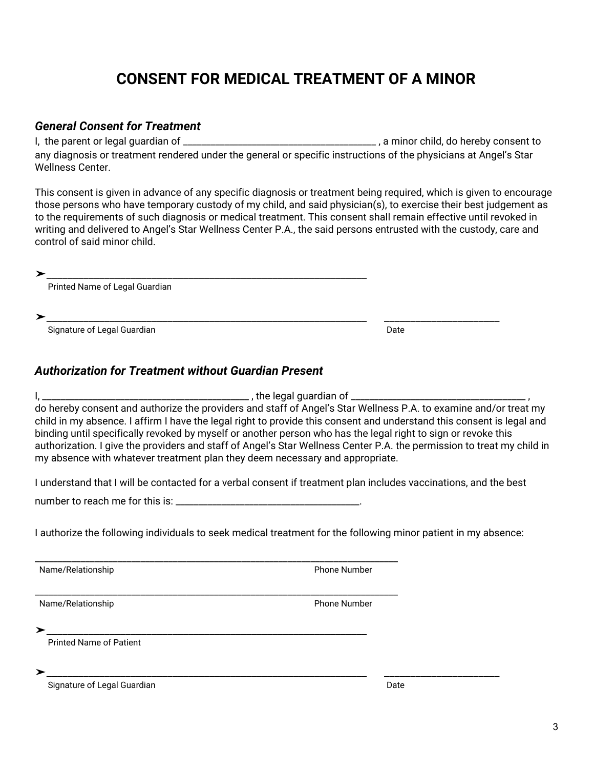## **CONSENT FOR MEDICAL TREATMENT OF A MINOR**

#### *General Consent for Treatment*

I, the parent or legal guardian of \_\_\_\_\_\_\_\_\_\_\_\_\_\_\_\_\_\_\_\_\_\_\_\_\_\_\_\_\_\_\_\_\_\_\_\_\_\_\_\_\_\_ , a minor child, do hereby consent to any diagnosis or treatment rendered under the general or specific instructions of the physicians at Angel's Star Wellness Center.

This consent is given in advance of any specific diagnosis or treatment being required, which is given to encourage those persons who have temporary custody of my child, and said physician(s), to exercise their best judgement as to the requirements of such diagnosis or medical treatment. This consent shall remain effective until revoked in writing and delivered to Angel's Star Wellness Center P.A., the said persons entrusted with the custody, care and control of said minor child.

➤\_\_\_\_\_\_\_\_\_\_\_\_\_\_\_\_\_\_\_\_\_\_\_\_\_\_\_\_\_\_\_\_\_\_\_\_\_\_\_\_\_\_\_\_\_\_\_\_\_\_\_\_\_\_\_\_\_\_\_\_\_

Printed Name of Legal Guardian

 $\blacktriangleright$ 

Signature of Legal Guardian Date Communication Communication Date

#### *Authorization for Treatment without Guardian Present*

I, \_\_\_\_\_\_\_\_\_\_\_\_\_\_\_\_\_\_\_\_\_\_\_\_\_\_\_\_\_\_\_\_\_\_\_\_\_\_\_\_\_\_\_\_\_ , the legal guardian of \_\_\_\_\_\_\_\_\_\_\_\_\_\_\_\_\_\_\_\_\_\_\_\_\_\_\_\_\_\_\_\_\_\_\_\_\_\_ , do hereby consent and authorize the providers and staff of Angel's Star Wellness P.A. to examine and/or treat my child in my absence. I affirm I have the legal right to provide this consent and understand this consent is legal and binding until specifically revoked by myself or another person who has the legal right to sign or revoke this authorization. I give the providers and staff of Angel's Star Wellness Center P.A. the permission to treat my child in my absence with whatever treatment plan they deem necessary and appropriate.

I understand that I will be contacted for a verbal consent if treatment plan includes vaccinations, and the best

number to reach me for this is: \_\_\_\_\_\_\_\_\_\_\_\_\_\_\_\_\_\_\_\_\_\_\_\_\_\_\_\_\_\_\_\_\_\_\_\_\_\_\_\_.

\_\_\_\_\_\_\_\_\_\_\_\_\_\_\_\_\_\_\_\_\_\_\_\_\_\_\_\_\_\_\_\_\_\_\_\_\_\_\_\_\_\_\_\_\_\_\_\_\_\_\_\_\_\_\_\_\_\_\_\_\_\_\_\_\_\_\_\_\_\_\_\_\_\_\_\_\_\_\_

I authorize the following individuals to seek medical treatment for the following minor patient in my absence:

Name/Relationship **Name/Relationship** Phone Number

\_\_\_\_\_\_\_\_\_\_\_\_\_\_\_\_\_\_\_\_\_\_\_\_\_\_\_\_\_\_\_\_\_\_\_\_\_\_\_\_\_\_\_\_\_\_\_\_\_\_\_\_\_\_\_\_\_\_\_\_\_\_\_\_\_\_\_\_\_\_\_\_\_\_\_\_\_\_\_ Name/Relationship **Name/Relationship** Phone Number

➤\_\_\_\_\_\_\_\_\_\_\_\_\_\_\_\_\_\_\_\_\_\_\_\_\_\_\_\_\_\_\_\_\_\_\_\_\_\_\_\_\_\_\_\_\_\_\_\_\_\_\_\_\_\_\_\_\_\_\_\_\_ Printed Name of Patient

➤\_\_\_\_\_\_\_\_\_\_\_\_\_\_\_\_\_\_\_\_\_\_\_\_\_\_\_\_\_\_\_\_\_\_\_\_\_\_\_\_\_\_\_\_\_\_\_\_\_\_\_\_\_\_\_\_\_\_\_\_\_ \_\_\_\_\_\_\_\_\_\_\_\_\_\_\_\_\_\_\_\_\_\_ Signature of Legal Guardian Date Communication of Legal Guardian Date

3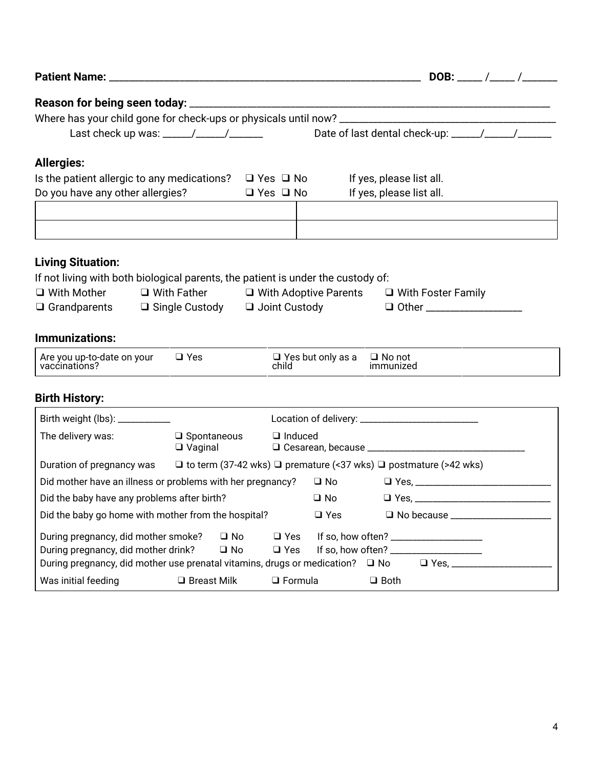| <b>Allergies:</b>                           |                                                                                    |                                                                                   |                            |                                |  |
|---------------------------------------------|------------------------------------------------------------------------------------|-----------------------------------------------------------------------------------|----------------------------|--------------------------------|--|
|                                             | Is the patient allergic to any medications? $\Box$ Yes $\Box$ No                   |                                                                                   | If yes, please list all.   |                                |  |
| Do you have any other allergies?            |                                                                                    | $\Box$ Yes $\Box$ No                                                              | If yes, please list all.   |                                |  |
|                                             |                                                                                    |                                                                                   |                            |                                |  |
| <b>Living Situation:</b>                    |                                                                                    |                                                                                   |                            |                                |  |
|                                             | If not living with both biological parents, the patient is under the custody of:   |                                                                                   |                            |                                |  |
| $\Box$ With Mother                          | $\Box$ With Father                                                                 | □ With Adoptive Parents                                                           |                            | □ With Foster Family           |  |
| $\Box$ Grandparents                         | $\Box$ Single Custody $\Box$ Joint Custody                                         |                                                                                   |                            | □ Other ______________________ |  |
| <b>Immunizations:</b>                       |                                                                                    |                                                                                   |                            |                                |  |
| Are you up-to-date on your<br>vaccinations? | $\Box$ Yes                                                                         | $\Box$ Yes but only as a<br>child                                                 | $\Box$ No not<br>immunized |                                |  |
| <b>Birth History:</b>                       |                                                                                    |                                                                                   |                            |                                |  |
| Birth weight (lbs): ___________             |                                                                                    |                                                                                   |                            |                                |  |
| The delivery was:                           | $\Box$ Spontaneous<br>$\Box$ Vaginal                                               | $\Box$ Induced                                                                    |                            |                                |  |
| Duration of pregnancy was                   |                                                                                    | $\Box$ to term (37-42 wks) $\Box$ premature (<37 wks) $\Box$ postmature (>42 wks) |                            |                                |  |
|                                             | Did mother have an illness or problems with her pregnancy?                         |                                                                                   | $\Box$ No $\Box$           |                                |  |
|                                             | Did the baby have any problems after birth?                                        | $\square$ No                                                                      |                            |                                |  |
|                                             | Did the baby go home with mother from the hospital?                                | $\Box$ Yes                                                                        |                            |                                |  |
| During pregnancy, did mother smoke?         | $\square$ No                                                                       | $\Box$ Yes                                                                        |                            |                                |  |
| During pregnancy, did mother drink?         | $\square$ No                                                                       | $\Box$ Yes                                                                        |                            |                                |  |
|                                             | During pregnancy, did mother use prenatal vitamins, drugs or medication? $\Box$ No |                                                                                   |                            |                                |  |
| Was initial feeding                         | □ Breast Milk                                                                      | $\Box$ Formula                                                                    | $\Box$ Both                |                                |  |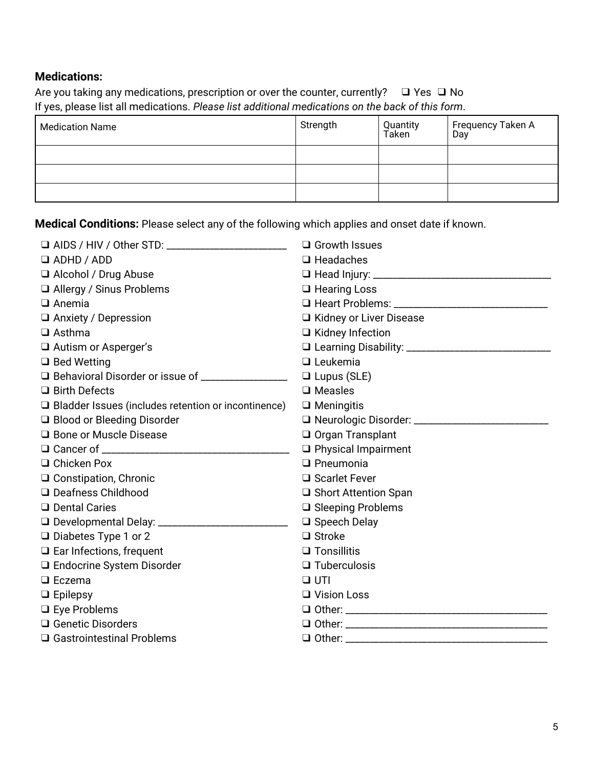#### **Medications:**

Are you taking any medications, prescription or over the counter, currently?  $□$  Yes  $□$  No If yes, please list all medications. *Please list additional medications on the back of this form*.

| <b>Medication Name</b> | Strength | Quantity<br>Taken | Frequency Taken A<br>Day |
|------------------------|----------|-------------------|--------------------------|
|                        |          |                   |                          |
|                        |          |                   |                          |
|                        |          |                   |                          |

**Medical Conditions:** Please select any of the following which applies and onset date if known.

|                                                            | $\Box$ Growth Issues        |
|------------------------------------------------------------|-----------------------------|
| $\Box$ ADHD / ADD                                          | $\Box$ Headaches            |
| □ Alcohol / Drug Abuse                                     |                             |
| □ Allergy / Sinus Problems                                 | $\Box$ Hearing Loss         |
| $\Box$ Anemia                                              |                             |
| Anxiety / Depression                                       | □ Kidney or Liver Disease   |
| $\Box$ Asthma                                              | $\Box$ Kidney Infection     |
| $\Box$ Autism or Asperger's                                |                             |
| $\Box$ Bed Wetting                                         | $\Box$ Leukemia             |
| □ Behavioral Disorder or issue of __________________       | $\Box$ Lupus (SLE)          |
| $\Box$ Birth Defects                                       | $\Box$ Measles              |
| $\Box$ Bladder Issues (includes retention or incontinence) | $\Box$ Meningitis           |
| □ Blood or Bleeding Disorder                               |                             |
| □ Bone or Muscle Disease                                   | Organ Transplant            |
|                                                            | $\Box$ Physical Impairment  |
| $\Box$ Chicken Pox                                         | $\Box$ Pneumonia            |
| $\Box$ Constipation, Chronic                               | □ Scarlet Fever             |
| □ Deafness Childhood                                       | $\Box$ Short Attention Span |
| Dental Caries                                              | $\Box$ Sleeping Problems    |
|                                                            | □ Speech Delay              |
| $\Box$ Diabetes Type 1 or 2                                | $\Box$ Stroke               |
| $\Box$ Ear Infections, frequent                            | $\Box$ Tonsillitis          |
| □ Endocrine System Disorder                                | $\Box$ Tuberculosis         |
| $\Box$ Eczema                                              | $\Box$ UTI                  |
| $\Box$ Epilepsy                                            | $\Box$ Vision Loss          |
| $\square$ Eye Problems                                     |                             |
| □ Genetic Disorders                                        |                             |
| $\Box$ Gastrointestinal Problems                           |                             |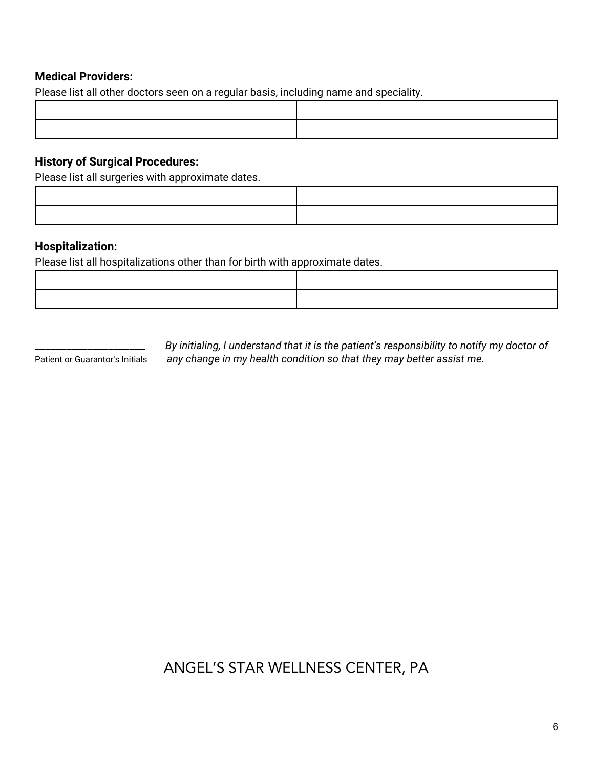#### **Medical Providers:**

Please list all other doctors seen on a regular basis, including name and speciality.

#### **History of Surgical Procedures:**

Please list all surgeries with approximate dates.

#### **Hospitalization:**

Please list all hospitalizations other than for birth with approximate dates.

\_\_\_\_\_\_\_\_\_\_\_\_\_\_\_\_\_\_\_\_\_ *By initialing, I understand that it is the patient's responsibility to notify my doctor of* Patient or Guarantor's Initials *any change in my health condition so that they may better assist me.*

### ANGEL'S STAR WELLNESS CENTER, PA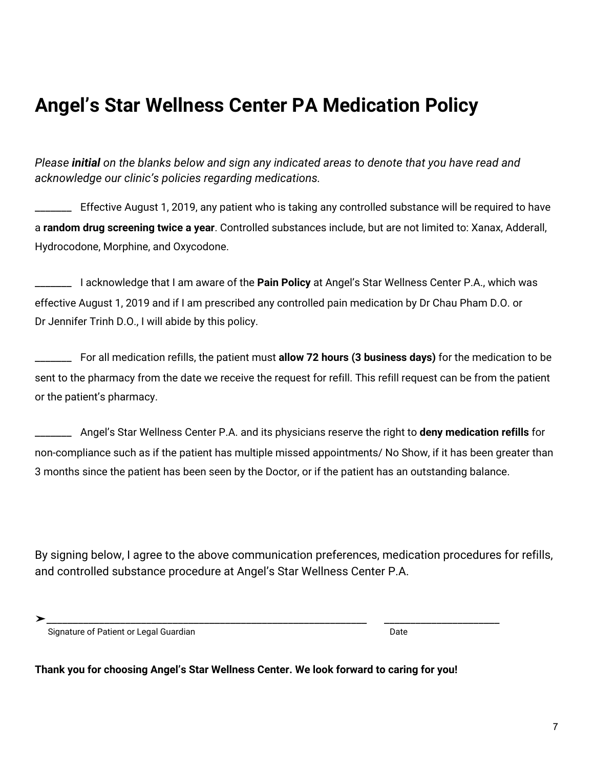# **Angel's Star Wellness Center PA Medication Policy**

*Please initial on the blanks below and sign any indicated areas to denote that you have read and acknowledge our clinic's policies regarding medications.*

\_\_\_\_\_\_\_ Effective August 1, 2019, any patient who is taking any controlled substance will be required to have a **random drug screening twice a year**. Controlled substances include, but are not limited to: Xanax, Adderall, Hydrocodone, Morphine, and Oxycodone.

\_\_\_\_\_\_\_ I acknowledge that I am aware of the **Pain Policy** at Angel's Star Wellness Center P.A., which was effective August 1, 2019 and if I am prescribed any controlled pain medication by Dr Chau Pham D.O. or Dr Jennifer Trinh D.O., I will abide by this policy.

\_\_\_\_\_\_\_ For all medication refills, the patient must **allow 72 hours (3 business days)** for the medication to be sent to the pharmacy from the date we receive the request for refill. This refill request can be from the patient or the patient's pharmacy.

\_\_\_\_\_\_\_ Angel's Star Wellness Center P.A. and its physicians reserve the right to **deny medication refills** for non-compliance such as if the patient has multiple missed appointments/ No Show, if it has been greater than 3 months since the patient has been seen by the Doctor, or if the patient has an outstanding balance.

By signing below, I agree to the above communication preferences, medication procedures for refills, and controlled substance procedure at Angel's Star Wellness Center P.A.

➤\_\_\_\_\_\_\_\_\_\_\_\_\_\_\_\_\_\_\_\_\_\_\_\_\_\_\_\_\_\_\_\_\_\_\_\_\_\_\_\_\_\_\_\_\_\_\_\_\_\_\_\_\_\_\_\_\_\_\_\_\_ \_\_\_\_\_\_\_\_\_\_\_\_\_\_\_\_\_\_\_\_\_\_

Signature of Patient or Legal Guardian Date Controller and Date Date Date

**Thank you for choosing Angel's Star Wellness Center. We look forward to caring for you!**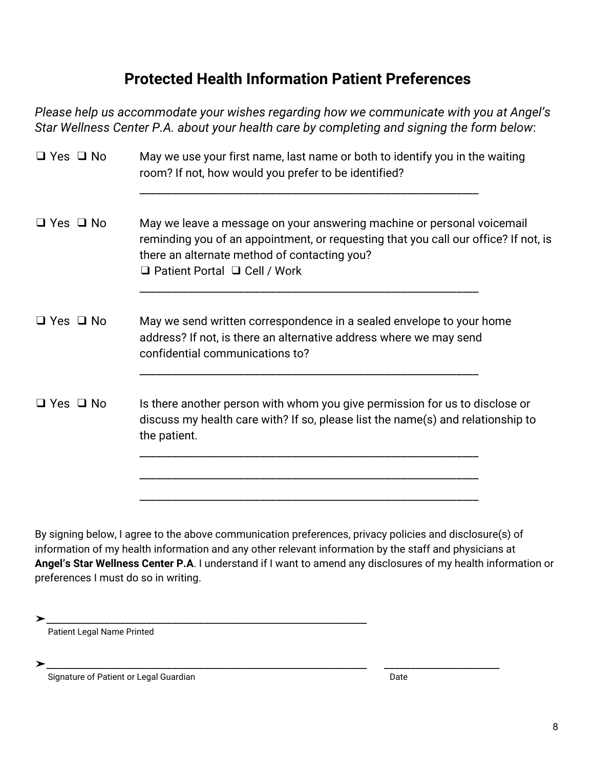## **Protected Health Information Patient Preferences**

*Please help us accommodate your wishes regarding how we communicate with you at Angel's Star Wellness Center P.A. about your health care by completing and signing the form below*:

| $\Box$ Yes $\Box$ No | May we use your first name, last name or both to identify you in the waiting<br>room? If not, how would you prefer to be identified?                                                                                                                      |
|----------------------|-----------------------------------------------------------------------------------------------------------------------------------------------------------------------------------------------------------------------------------------------------------|
| $\Box$ Yes $\Box$ No | May we leave a message on your answering machine or personal voicemail<br>reminding you of an appointment, or requesting that you call our office? If not, is<br>there an alternate method of contacting you?<br>$\Box$ Patient Portal $\Box$ Cell / Work |
| $\Box$ Yes $\Box$ No | May we send written correspondence in a sealed envelope to your home<br>address? If not, is there an alternative address where we may send<br>confidential communications to?                                                                             |
| $\Box$ Yes $\Box$ No | Is there another person with whom you give permission for us to disclose or<br>discuss my health care with? If so, please list the name(s) and relationship to<br>the patient.                                                                            |
|                      |                                                                                                                                                                                                                                                           |

By signing below, I agree to the above communication preferences, privacy policies and disclosure(s) of information of my health information and any other relevant information by the staff and physicians at **Angel's Star Wellness Center P.A**. I understand if I want to amend any disclosures of my health information or preferences I must do so in writing.

Patient Legal Name Printed

➤\_\_\_\_\_\_\_\_\_\_\_\_\_\_\_\_\_\_\_\_\_\_\_\_\_\_\_\_\_\_\_\_\_\_\_\_\_\_\_\_\_\_\_\_\_\_\_\_\_\_\_\_\_\_\_\_\_\_\_\_\_ \_\_\_\_\_\_\_\_\_\_\_\_\_\_\_\_\_\_\_\_\_\_ Signature of Patient or Legal Guardian Date Controller and Date Date Date

➤\_\_\_\_\_\_\_\_\_\_\_\_\_\_\_\_\_\_\_\_\_\_\_\_\_\_\_\_\_\_\_\_\_\_\_\_\_\_\_\_\_\_\_\_\_\_\_\_\_\_\_\_\_\_\_\_\_\_\_\_\_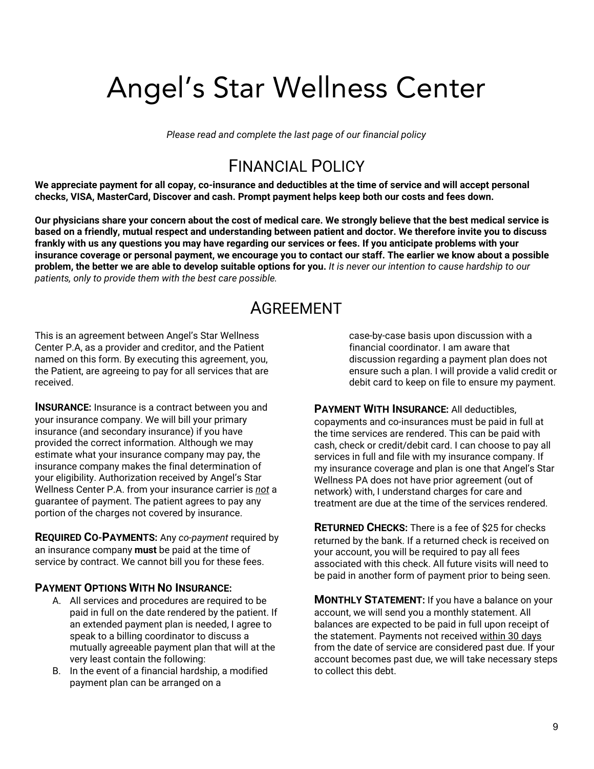# Angel's Star Wellness Center

*Please read and complete the last page of our financial policy*

## FINANCIAL POLICY

We appreciate payment for all copay, co-insurance and deductibles at the time of service and will accept personal **checks, VISA, MasterCard, Discover and cash. Prompt payment helps keep both our costs and fees down.**

Our physicians share vour concern about the cost of medical care. We strongly believe that the best medical service is based on a friendly, mutual respect and understanding between patient and doctor. We therefore invite you to discuss frankly with us any questions you may have regarding our services or fees. If you anticipate problems with your insurance coverage or personal payment, we encourage you to contact our staff. The earlier we know about a possible problem, the better we are able to develop suitable options for you. It is never our intention to cause hardship to our *patients, only to provide them with the best care possible.*

## AGREEMENT

This is an agreement between Angel's Star Wellness Center P.A, as a provider and creditor, and the Patient named on this form. By executing this agreement, you, the Patient, are agreeing to pay for all services that are received.

**INSURANCE:** Insurance is a contract between you and your insurance company. We will bill your primary insurance (and secondary insurance) if you have provided the correct information. Although we may estimate what your insurance company may pay, the insurance company makes the final determination of your eligibility. Authorization received by Angel's Star Wellness Center P.A. from your insurance carrier is *not* a guarantee of payment. The patient agrees to pay any portion of the charges not covered by insurance.

**REQUIRED CO-PAYMENTS:** Any *co-payment* required by an insurance company **must** be paid at the time of service by contract. We cannot bill you for these fees.

#### **PAYMENT OPTIONS WITH NO INSURANCE:**

- A. All services and procedures are required to be paid in full on the date rendered by the patient. If an extended payment plan is needed, I agree to speak to a billing coordinator to discuss a mutually agreeable payment plan that will at the very least contain the following:
- B. In the event of a financial hardship, a modified payment plan can be arranged on a

case-by-case basis upon discussion with a financial coordinator. I am aware that discussion regarding a payment plan does not ensure such a plan. I will provide a valid credit or debit card to keep on file to ensure my payment.

**PAYMENT WITH INSURANCE:** All deductibles, copayments and co-insurances must be paid in full at the time services are rendered. This can be paid with cash, check or credit/debit card. I can choose to pay all services in full and file with my insurance company. If my insurance coverage and plan is one that Angel's Star Wellness PA does not have prior agreement (out of network) with, I understand charges for care and treatment are due at the time of the services rendered.

**RETURNED CHECKS:** There is a fee of \$25 for checks returned by the bank. If a returned check is received on your account, you will be required to pay all fees associated with this check. All future visits will need to be paid in another form of payment prior to being seen.

**MONTHLY STATEMENT:** If you have a balance on your account, we will send you a monthly statement. All balances are expected to be paid in full upon receipt of the statement. Payments not received within 30 days from the date of service are considered past due. If your account becomes past due, we will take necessary steps to collect this debt.